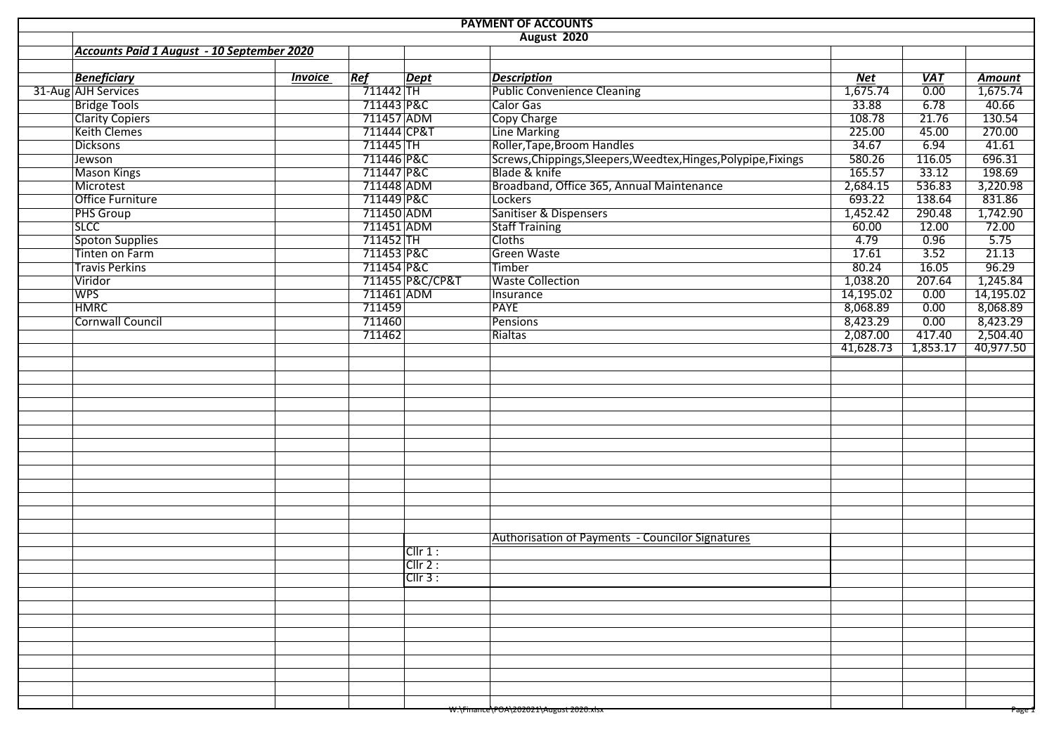| <b>PAYMENT OF ACCOUNTS</b> |                                            |                |             |                 |                                                                 |            |                   |               |  |  |
|----------------------------|--------------------------------------------|----------------|-------------|-----------------|-----------------------------------------------------------------|------------|-------------------|---------------|--|--|
|                            |                                            |                |             |                 | <b>August 2020</b>                                              |            |                   |               |  |  |
|                            | Accounts Paid 1 August - 10 September 2020 |                |             |                 |                                                                 |            |                   |               |  |  |
|                            |                                            |                |             |                 |                                                                 |            |                   |               |  |  |
|                            | <b>Beneficiary</b>                         | <b>Invoice</b> | Ref         | <b>Dept</b>     | <b>Description</b>                                              | <b>Net</b> | <b>VAT</b>        | <b>Amount</b> |  |  |
|                            | 31-Aug AJH Services                        |                | 711442      |                 | <b>Public Convenience Cleaning</b>                              | 1,675.74   | $\overline{0.00}$ | 1,675.74      |  |  |
|                            | <b>Bridge Tools</b>                        |                | 711443 P&C  |                 | Calor Gas                                                       | 33.88      | 6.78              | 40.66         |  |  |
|                            | <b>Clarity Copiers</b>                     |                | 711457 ADM  |                 | <b>Copy Charge</b>                                              | 108.78     | 21.76             | 130.54        |  |  |
|                            | Keith Clemes                               |                | 711444 CP&T |                 | Line Marking                                                    | 225.00     | 45.00             | 270.00        |  |  |
|                            | <b>Dicksons</b>                            |                | 711445 TH   |                 | Roller, Tape, Broom Handles                                     | 34.67      | 6.94              | 41.61         |  |  |
|                            | Jewson                                     |                | 711446 P&C  |                 | Screws, Chippings, Sleepers, Weedtex, Hinges, Polypipe, Fixings | 580.26     | 116.05            | 696.31        |  |  |
|                            | <b>Mason Kings</b>                         |                | 711447 P&C  |                 | Blade & knife                                                   | 165.57     | 33.12             | 198.69        |  |  |
|                            | Microtest                                  |                | 711448 ADM  |                 | Broadband, Office 365, Annual Maintenance                       | 2,684.15   | 536.83            | 3,220.98      |  |  |
|                            | Office Furniture                           |                | 711449 P&C  |                 | Lockers                                                         | 693.22     | 138.64            | 831.86        |  |  |
|                            | <b>PHS Group</b>                           |                | 711450 ADM  |                 | Sanitiser & Dispensers                                          | 1,452.42   | 290.48            | 1,742.90      |  |  |
|                            | <b>SLCC</b>                                |                | 711451 ADM  |                 | <b>Staff Training</b>                                           | 60.00      | 12.00             | 72.00         |  |  |
|                            | <b>Spoton Supplies</b>                     |                | 711452 TH   |                 | <b>Cloths</b>                                                   | 4.79       | 0.96              | 5.75          |  |  |
|                            | <b>Tinten on Farm</b>                      |                | 711453 P&C  |                 | <b>Green Waste</b>                                              | 17.61      | 3.52              | 21.13         |  |  |
|                            | <b>Travis Perkins</b>                      |                | 711454 P&C  |                 | Timber                                                          | 80.24      | 16.05             | 96.29         |  |  |
|                            | Viridor                                    |                |             | 711455 P&C/CP&T | <b>Waste Collection</b>                                         | 1,038.20   | 207.64            | 1,245.84      |  |  |
|                            | <b>WPS</b>                                 |                | 711461 ADM  |                 | Insurance                                                       | 14,195.02  | 0.00              | 14,195.02     |  |  |
|                            | <b>HMRC</b>                                |                | 711459      |                 | <b>PAYE</b>                                                     | 8,068.89   | 0.00              | 8,068.89      |  |  |
|                            | Cornwall Council                           |                | 711460      |                 | <b>Pensions</b>                                                 | 8,423.29   | 0.00              | 8,423.29      |  |  |
|                            |                                            |                | 711462      |                 | Rialtas                                                         | 2,087.00   | 417.40            | 2,504.40      |  |  |
|                            |                                            |                |             |                 |                                                                 | 41,628.73  | 1,853.17          | 40,977.50     |  |  |
|                            |                                            |                |             |                 |                                                                 |            |                   |               |  |  |
|                            |                                            |                |             |                 |                                                                 |            |                   |               |  |  |
|                            |                                            |                |             |                 |                                                                 |            |                   |               |  |  |
|                            |                                            |                |             |                 |                                                                 |            |                   |               |  |  |
|                            |                                            |                |             |                 |                                                                 |            |                   |               |  |  |
|                            |                                            |                |             |                 |                                                                 |            |                   |               |  |  |
|                            |                                            |                |             |                 |                                                                 |            |                   |               |  |  |
|                            |                                            |                |             |                 |                                                                 |            |                   |               |  |  |
|                            |                                            |                |             |                 |                                                                 |            |                   |               |  |  |
|                            |                                            |                |             |                 |                                                                 |            |                   |               |  |  |
|                            |                                            |                |             |                 |                                                                 |            |                   |               |  |  |
|                            |                                            |                |             |                 |                                                                 |            |                   |               |  |  |
|                            |                                            |                |             |                 |                                                                 |            |                   |               |  |  |
|                            |                                            |                |             |                 | Authorisation of Payments - Councilor Signatures                |            |                   |               |  |  |
|                            |                                            |                |             | Cllr 1:         |                                                                 |            |                   |               |  |  |
|                            |                                            |                |             | $ClIr$ 2:       |                                                                 |            |                   |               |  |  |
|                            |                                            |                |             | ClIr 3:         |                                                                 |            |                   |               |  |  |
|                            |                                            |                |             |                 |                                                                 |            |                   |               |  |  |
|                            |                                            |                |             |                 |                                                                 |            |                   |               |  |  |
|                            |                                            |                |             |                 |                                                                 |            |                   |               |  |  |
|                            |                                            |                |             |                 |                                                                 |            |                   |               |  |  |
|                            |                                            |                |             |                 |                                                                 |            |                   |               |  |  |
|                            |                                            |                |             |                 |                                                                 |            |                   |               |  |  |
|                            |                                            |                |             |                 |                                                                 |            |                   |               |  |  |
|                            |                                            |                |             |                 |                                                                 |            |                   |               |  |  |
|                            |                                            |                |             |                 |                                                                 |            |                   |               |  |  |
|                            |                                            |                |             |                 | <del>W:\Finance\POA\202021\August 2020.xisx</del>               |            |                   | Page :        |  |  |